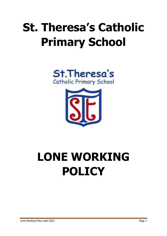## **St. Theresa's Catholic Primary School**





# **LONE WORKING POLICY**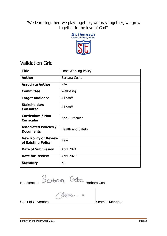"We learn together, we play together, we pray together, we grow together in the love of God"



### Validation Grid

| <b>Title</b>                                      | Lone Working Policy |
|---------------------------------------------------|---------------------|
| <b>Author</b>                                     | Barbara Costa       |
| <b>Associate Author</b>                           | N/A                 |
| <b>Committee</b>                                  | Wellbeing           |
| <b>Target Audience</b>                            | All Staff           |
| <b>Stakeholders</b><br><b>Consulted</b>           | All Staff           |
| <b>Curriculum / Non</b><br><b>Curricular</b>      | Non Curricular      |
| <b>Associated Policies /</b><br><b>Documents</b>  | Health and Safety   |
| <b>New Policy or Review</b><br>of Existing Policy | <b>New</b>          |
| <b>Date of Submission</b>                         | April 2021          |
| <b>Date for Review</b>                            | <b>April 2023</b>   |
| <b>Statutory</b>                                  | <b>No</b>           |

Headteacher DWDWR DOCE Barbara Costa

Chair of Governors **Seamus McKenna** Seamus McKenna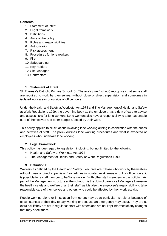#### **Contents**

- 1. Statement of Intent
- 2. Legal framework
- 3. Definitions
- 4. Aims of the policy
- 5. Roles and responsibilities
- 6. Authorisation
- 7. Risk assessment
- 8. Procedures for lone workers
- 9. Fire
- 10. Safeguarding
- 11. Key Holders
- 12. Site Manager
- 13. Contractors

#### **1. Statement of Intent**

St. Theresa's Catholic Primary School (St. Theresa's / we / school) recognises that some staff are required to work by themselves, without close or direct supervision and sometimes in isolated work areas or outside of office hours.

Under the Health and Safety at Work etc. Act 1974 and The Management of Health and Safety at Work Regulations 1999, the governing body as the employer, has a duty of care to advise and assess risks for lone workers. Lone workers also have a responsibility to take reasonable care of themselves and other people affected by their work.

This policy applies to all situations involving lone working arising in connection with the duties and activities of staff. The policy outlines lone working procedures and what is expected of employees who undertake lone working.

#### **2. Legal Framework:**

This policy has due regard to legislation, including, but not limited to, the following:

- Health and Safety at Work etc. Act 1974
- The Management of Health and Safety at Work Regulations 1999

#### **3. Definitions:**

Workers as defined by the Health and Safety Executive are, "those who work by themselves without close or direct supervision" sometimes in isolated work areas or out of office hours; it is possible for a staff member to be "lone working" with other staff members in the building. As part of the Management structure at the school, it is the duty of care for all Managers to ensure the health, safety and welfare of all their staff, as it is also the employee's responsibility to take reasonable care of themselves and others who could be affected by their work activity.

People working alone or in isolation from others may be at particular risk either because of circumstances of their day to day working or because an emergency may occur. They are at extra risk if they are not in regular contact with others and are not kept informed of any changes that may affect them.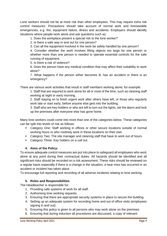Lone workers should not be at more risk than other employees. This may require extra risk control measures. Precautions should take account of normal work and foreseeable emergencies, e.g. fire, equipment failure, illness and accidents. Employers should identify situations where people work alone and ask questions such as:

1. Does the workplace present a special risk to the lone worker?

2. Is there a safe way in and out for one person?

3. Can all the equipment involved in the work be safely handled by one person?

4. Consider whether the work involves lifting objects too large for one person or whether more than one person is needed to operate essential controls for the safe running of equipment.

5. Is there a risk of violence?

6. Does the person have any medical condition that may affect their suitability to work alone?

7. What happens if the person either becomes ill, has an accident or there is an emergency?

There are various work activities that result in staff members working alone; for example:

1. Staff that are required to work alone for all or most of the time, such as cleaning staff working at night or early morning.

2. Staff staying on to finish urgent work after others have left, or those who regularly work late or start early, before anyone else gets into the building.

3. Staff who are key-holders or who are left to turn out the lights, set the alarm and lock up the premises after everyone else has gone home.

Many lone workers could come into more than one of the categories below. These categories can be split into levels of risk as follows:

- *Category One*: Staff working in offices or other secure locations outside of normal working hours or who routinely work in these locations on their own.
- *Category Two*: The site manager and cleaning staff that have to work out of hours.
- *Category Three*: Key holders on a call out.

#### **4. Aims of the Policy:**

To ensure adequate control measures are put into place to safeguard all employees who work alone at any point during their contractual duties. All hazards should be identified and all significant risks should be recorded on a risk assessment. These risks should be reviewed on a regular basis especially if there is a change in the situation; a near miss has occurred or an accident or incident has taken place.

To encourage full reporting and recording of all adverse incidents relating to lone working.

#### **5. Roles and Responsibilities**

The Headteacher is responsible for:

- 1. Providing safe systems of work for all staff.
- 2. Authorising lone working requests.
- 3. Ensuring that there are appropriate security systems in place to secure the building.
- 4. Setting up an adequate system for recording home and out of office visits (employees signing in and out).
- 5. Ensuring this policy is given to all persons who may work alone on the premises.
- 6. Ensuring that during induction all procedures are discussed, a copy of relevant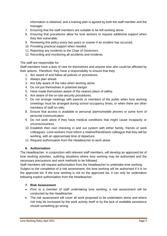information is obtained, and a training plan is agreed by both the staff member and the manager.

- 7. Ensuring that the staff members are suitable to be left working alone.
- 8. Ensuring that procedures allow for lone workers to request additional support when they feel vulnerable.
- 9. Reviewing this policy every two years or sooner if an incident has occurred.
- 10. Providing practical support when needed.
- 11. Reporting any incidents to the Chair of Governors.
- 12. Recording and monitoring all accidents and incidents.

#### The staff are responsible for:

Staff members have a duty of care for themselves and anyone else who could be affected by their actions. Therefore, they have a responsibility to ensure that they:

- 1. Are aware of and follow all policies or procedures.
- 2. Always plan ahead.
- 3. Are fully aware of the risks when working alone.
- 4. Do not put themselves in potential danger.
- 5. Have made themselves aware of the nearest place of safety.
- 6. Are aware of the on-site security procedures.
- 7. Do not arrange meetings with parents or members of the public when lone working (meetings must be arranged during school occupancy times, or when there are other members of staff on site).
- 8. Ensure that access is available to personal alarms/mobile phones or some form of personal communication.
- 9. Do not work alone if they have medical conditions that might cause incapacity or unconsciousness.
- 10. Establish their own checking in and out system with either family, friends or work colleagues. Lone workers must inform a relative/friend/work colleague that they will be working, with an approximate time of departure.
- 11. Request authorisation from the Headteacher to work alone.

#### **6. Authorisation**

The Headteacher, in conjunction with relevant staff members, will develop an approved list of lone working activities, outlining situations where lone working may be authorised and the necessary precautions and work methods to be followed.

Staff members will request authorisation from the Headteacher to undertake lone working. Subject to the completion of a risk assessment, the lone working will be authorised if it is on the approved list. If the lone working is not on the approved list, it can only be undertaken following explicit authorisation from the Headteacher.

#### **7. Risk Assessment**

- Prior to a member of staff undertaking lone working, a risk assessment will be conducted by the Headteacher.
- The risk assessment will cover all work proposed to be undertaken alone and where risk may be increased by the work activity itself or by the lack of available assistance should something go wrong.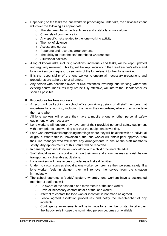- Depending on the tasks the lone worker is proposing to undertake, the risk assessment will cover the following as appropriate:
	- $\circ$  The staff member's medical fitness and suitability to work alone
	- o Channels of communication
	- o Any specific risks related to the lone working activity
	- o The risk of violence
	- o Access and egress
	- o Reporting and recording arrangements
	- o The ability to trace the staff member's whereabouts
	- o Situational hazards
- A log of known risks, including locations, individuals and tasks, will be kept, updated and regularly reviewed. This log will be kept securely in the Headteacher's office and lone workers can request to see parts of the log relevant to their lone working.
- If is the responsibility of the lone worker to ensure all necessary precautions and procedures are adhered to at all times.
- Any person who becomes aware of circumstances involving lone working, where the existing control measures may not be fully effective, will inform the Headteacher as soon as possible.

#### **8. Procedures for lone workers**

- $\checkmark$  A record will be kept in the school office containing details of all staff members that undertake lone working, including the tasks they undertake, where they undertake them and when.
- $\checkmark$  All lone workers will ensure they have a mobile phone or other personal safety equipment where necessary.
- $\checkmark$  Lone workers will ensure they have any of their provided personal safety equipment with them prior to lone working and that the equipment is working.
- $\checkmark$  Lone workers will avoid organising meetings where they will be alone with an individual or group. Where this is unavoidable, the lone worker will obtain prior approval from their line manager who will make any arrangements to ensure the staff member's safety. Any appointments of this nature will be recorded.
- $\checkmark$  In general, staff should never work alone with a child or vulnerable adult.
- $\checkmark$  Staff should never transport a child on their own and should assess any risk before transporting a vulnerable adult alone.
- $\checkmark$  Lone workers will have access to adequate first aid facilities.
- $\checkmark$  Under no circumstances should a lone worker compromise their personal safety. If a lone worker feels in danger, they will remove themselves from the situation immediately.
- $\checkmark$  The school operates a 'buddy' system, whereby lone workers have a designated member of staff that will:
	- o Be aware of the schedule and movements of the lone worker.
	- o Have all necessary contact details of the lone worker.
	- o Attempt to contact the lone worker if contact is not made as agreed.
	- $\circ$  Follow agreed escalation procedures and notify the Headteacher of any incidents.
	- o Contingency arrangements will be in place for a member of staff to take over the 'buddy' role in case the nominated person becomes unavailable.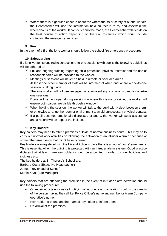$\checkmark$  Where there is a genuine concern about the whereabouts or safety of a lone worker, the Headteacher will use the information held on record to try and ascertain the whereabouts of the worker. If contact cannot be made, the Headteacher will decide on the best course of action depending on the circumstances, which could include contacting the emergency services.

#### **9. Fire**

In the event of a fire, the lone worker should follow the school fire emergency procedures.

#### **10. Safeguarding**

If a lone worker is required to conduct one-to-one sessions with pupils, the following guidelines will be adhered to:

- $\checkmark$  Full and ongoing training regarding child protection, physical restraint and the use of reasonable force will be provided to the worker.
- $\checkmark$  Meetings or sessions will never be held in remote or secluded areas.
- $\checkmark$  At least one other member of staff will be informed of when and where a one-to-one session is taking place.
- $\checkmark$  The lone worker will not use 'engaged' or equivalent signs on rooms used for one-toone sessions.
- $\checkmark$  Doors will be kept open during sessions where this is not possible, the worker will ensure both parties are visible through a window.
- $\checkmark$  When holding the session, the worker will talk to the pupil with a desk between them, or otherwise arrange the room or environment to avoid unnecessary physical contact.
- $\checkmark$  If a pupil becomes emotionally distressed or angry, the worker will seek assistance and a record will be kept of the incident.

#### **11. Key Holders:**

Key holders may need to attend premises outside of normal business hours. This may be to carry out normal work activities or following the activation of an intruder alarm or because of some other emergency that might have occurred.

Key holders are registered with the LA and Police in case there is an out of hours' emergency. This is essential when the building is protected with an intruder alarm system. Good practice dictates that at least three key holders should be appointed in order to cover holidays and sickness etc.

The key holders at St. Theresa's School are;

Barbara Costa (Executive Headteacher)

James Troy (Head of School)

Martin Kryst (Site Manager)

Key holders that are attending the premises in the event of intruder alarm activation should use the following procedure:

- On receiving a telephone call notifying of intruder alarm activation, confirm the identity of the person making the call, i.e. Police Officer's name and number or Alarm Company operative's name.
- Key Holder to phone another named key holder to inform them.
- On arrival at the premises: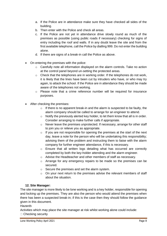- a. If the Police are in attendance make sure they have checked all sides of the building.
- b. Then enter with the Police and check all areas.
- c. If the Police are not yet in attendance drive slowly round as much of the premises as possible (using public roads if necessary) checking for signs of entry including the roof and walls. If in any doubt leave the site and from the first available telephone, call the Police by dialling 999. Do not enter the building alone.
- d. If there are signs of a break-in call the Police as above.
- On entering the premises with the police:
	- $\circ$  Carefully note all information displayed on the alarm controls. Take no action at the control panel beyond un-setting the protected areas.
	- $\circ$  Check that the telephones are in working order. If the telephones do not work, it is likely that the lines have been cut by intruders who have, or who may try again, to attack the school. If the Police are in attendance they should be made aware of the telephones not working.
	- o Please note that a crime reference number will be required for insurance purposes.
- After checking the premises:
	- $\circ$  If there is no apparent break-in and the alarm is suspected to be faulty, the alarm company should be called to arrange for an engineer to attend.
	- $\circ$  Notify the previously alerted key holder, to let them know that all is in order. Consider arranging to make further calls if appropriate.
	- $\circ$  Never leave the premises unprotected. If necessary, arrange for other staff to join you or relieve you as appropriate.
	- $\circ$  If you are not responsible for opening the premises at the start of the next day, leave a note for the person who will be undertaking this responsibility; advising them of the problem and instructing them to liaise with the alarm company for further engineer attendance, if this is necessary.
	- $\circ$  Ensure that all written logs detailing what has occurred are correctly completed by both the key-holder attending and the alarm engineer.
	- o Advise the Headteacher and other members of staff as necessary.
	- o Arrange for any emergency repairs to be made so the premises can be secured.
	- o Secure the premises and set the alarm system.
	- $\circ$  On your next return to the premises advise the relevant members of staff about the situation.

#### **12. Site Manager:**

The site manager is more likely to be lone working and is a key holder, responsible for opening and locking up the premises. They are also the person who would attend the premises when there has been a suspected break-in; if this is the case then they should follow the guidance given in this document.

#### *Hazards*

Activities which may place the site manager at risk whilst working alone could include:

#### □ Checking security